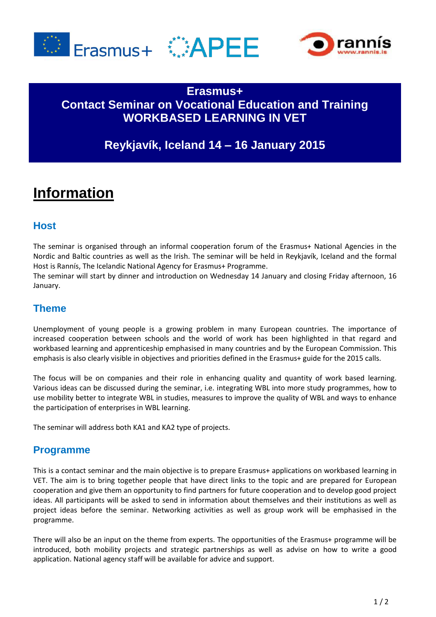





# **Erasmus+ Contact Seminar on Vocational Education and Training WORKBASED LEARNING IN VET**

# **Reykjavík, Iceland 14 – 16 January 2015**

# **Information**

### **Host**

The seminar is organised through an informal cooperation forum of the Erasmus+ National Agencies in the Nordic and Baltic countries as well as the Irish. The seminar will be held in Reykjavík, Iceland and the formal Host is Rannís, The Icelandic National Agency for Erasmus+ Programme.

The seminar will start by dinner and introduction on Wednesday 14 January and closing Friday afternoon, 16 January.

#### **Theme**

Unemployment of young people is a growing problem in many European countries. The importance of increased cooperation between schools and the world of work has been highlighted in that regard and workbased learning and apprenticeship emphasised in many countries and by the European Commission. This emphasis is also clearly visible in objectives and priorities defined in the Erasmus+ guide for the 2015 calls.

The focus will be on companies and their role in enhancing quality and quantity of work based learning. Various ideas can be discussed during the seminar, i.e. integrating WBL into more study programmes, how to use mobility better to integrate WBL in studies, measures to improve the quality of WBL and ways to enhance the participation of enterprises in WBL learning.

The seminar will address both KA1 and KA2 type of projects.

#### **Programme**

This is a contact seminar and the main objective is to prepare Erasmus+ applications on workbased learning in VET. The aim is to bring together people that have direct links to the topic and are prepared for European cooperation and give them an opportunity to find partners for future cooperation and to develop good project ideas. All participants will be asked to send in information about themselves and their institutions as well as project ideas before the seminar. Networking activities as well as group work will be emphasised in the programme.

There will also be an input on the theme from experts. The opportunities of the Erasmus+ programme will be introduced, both mobility projects and strategic partnerships as well as advise on how to write a good application. National agency staff will be available for advice and support.